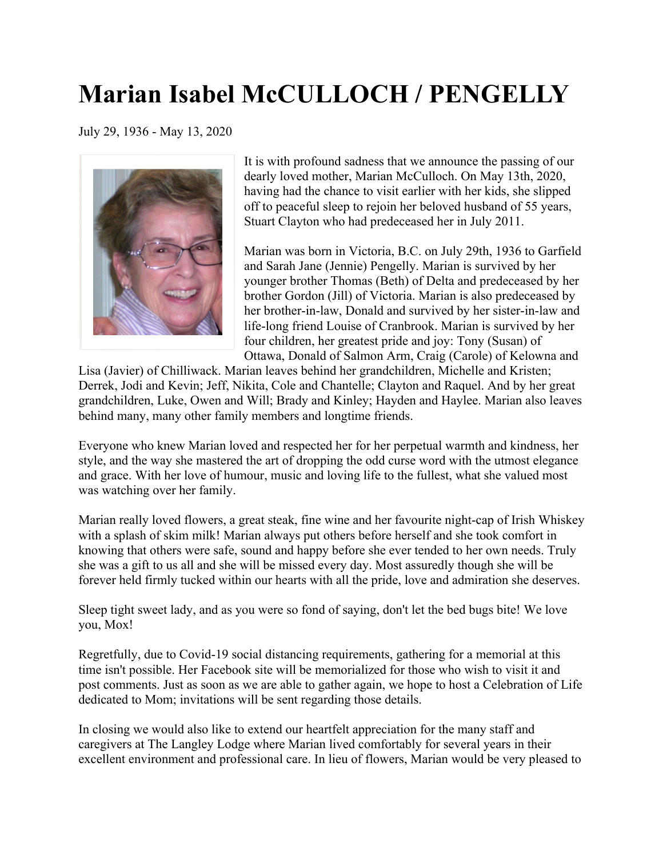## **Marian Isabel McCULLOCH / PENGELLY**

July 29, 1936 - May 13, 2020



It is with profound sadness that we announce the passing of our dearly loved mother, Marian McCulloch. On May 13th, 2020, having had the chance to visit earlier with her kids, she slipped off to peaceful sleep to rejoin her beloved husband of 55 years, Stuart Clayton who had predeceased her in July 2011.

Marian was born in Victoria, B.C. on July 29th, 1936 to Garfield and Sarah Jane (Jennie) Pengelly. Marian is survived by her younger brother Thomas (Beth) of Delta and predeceased by her brother Gordon (Jill) of Victoria. Marian is also predeceased by her brother-in-law, Donald and survived by her sister-in-law and life-long friend Louise of Cranbrook. Marian is survived by her four children, her greatest pride and joy: Tony (Susan) of Ottawa, Donald of Salmon Arm, Craig (Carole) of Kelowna and

Lisa (Javier) of Chilliwack. Marian leaves behind her grandchildren, Michelle and Kristen; Derrek, Jodi and Kevin; Jeff, Nikita, Cole and Chantelle; Clayton and Raquel. And by her great grandchildren, Luke, Owen and Will; Brady and Kinley; Hayden and Haylee. Marian also leaves behind many, many other family members and longtime friends.

Everyone who knew Marian loved and respected her for her perpetual warmth and kindness, her style, and the way she mastered the art of dropping the odd curse word with the utmost elegance and grace. With her love of humour, music and loving life to the fullest, what she valued most was watching over her family.

Marian really loved flowers, a great steak, fine wine and her favourite night-cap of Irish Whiskey with a splash of skim milk! Marian always put others before herself and she took comfort in knowing that others were safe, sound and happy before she ever tended to her own needs. Truly she was a gift to us all and she will be missed every day. Most assuredly though she will be forever held firmly tucked within our hearts with all the pride, love and admiration she deserves.

Sleep tight sweet lady, and as you were so fond of saying, don't let the bed bugs bite! We love you, Mox!

Regretfully, due to Covid-19 social distancing requirements, gathering for a memorial at this time isn't possible. Her Facebook site will be memorialized for those who wish to visit it and post comments. Just as soon as we are able to gather again, we hope to host a Celebration of Life dedicated to Mom; invitations will be sent regarding those details.

In closing we would also like to extend our heartfelt appreciation for the many staff and caregivers at The Langley Lodge where Marian lived comfortably for several years in their excellent environment and professional care. In lieu of flowers, Marian would be very pleased to